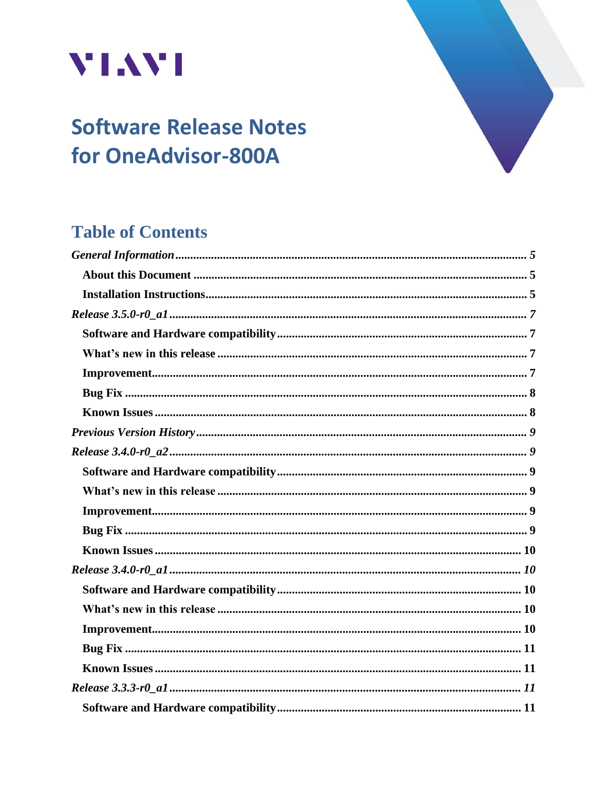

# **Software Release Notes** for OneAdvisor-800A

# **Table of Contents**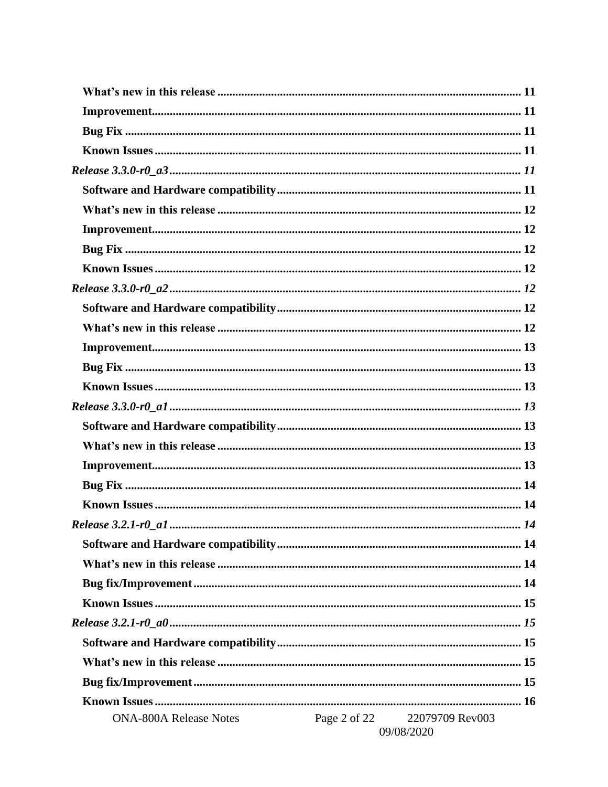| <b>ONA-800A Release Notes</b> | Page 2 of 22 | 22079709 Rev003<br>09/08/2020 |  |
|-------------------------------|--------------|-------------------------------|--|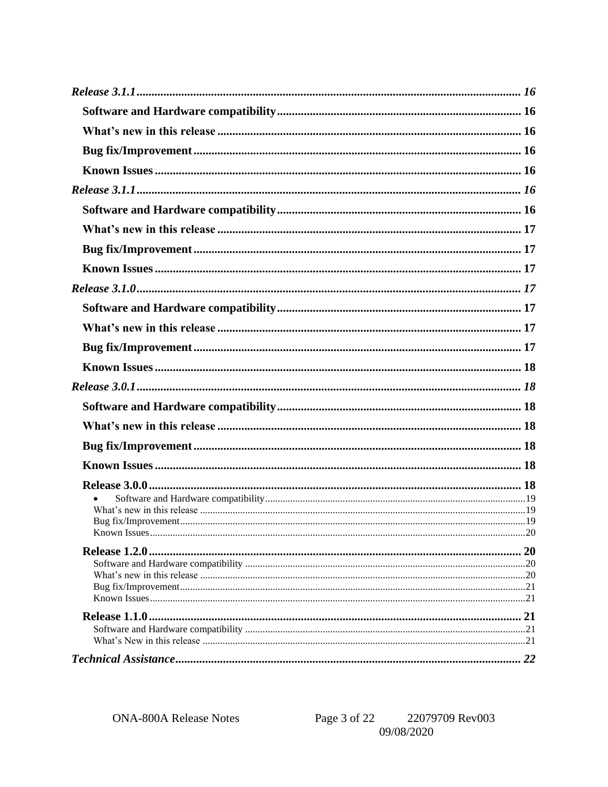| 22 |  |
|----|--|
|    |  |
|    |  |
|    |  |
|    |  |
|    |  |
|    |  |
|    |  |
|    |  |
|    |  |
|    |  |
|    |  |
|    |  |
|    |  |
|    |  |
|    |  |
|    |  |
|    |  |
|    |  |
|    |  |
|    |  |
|    |  |
|    |  |
|    |  |
|    |  |
|    |  |
|    |  |
|    |  |
|    |  |
|    |  |
|    |  |
|    |  |
|    |  |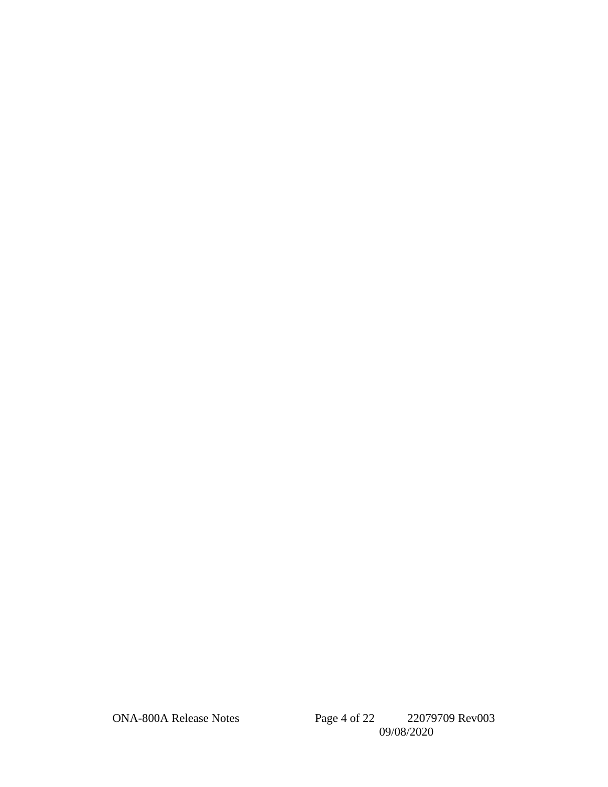ONA -800A Release Note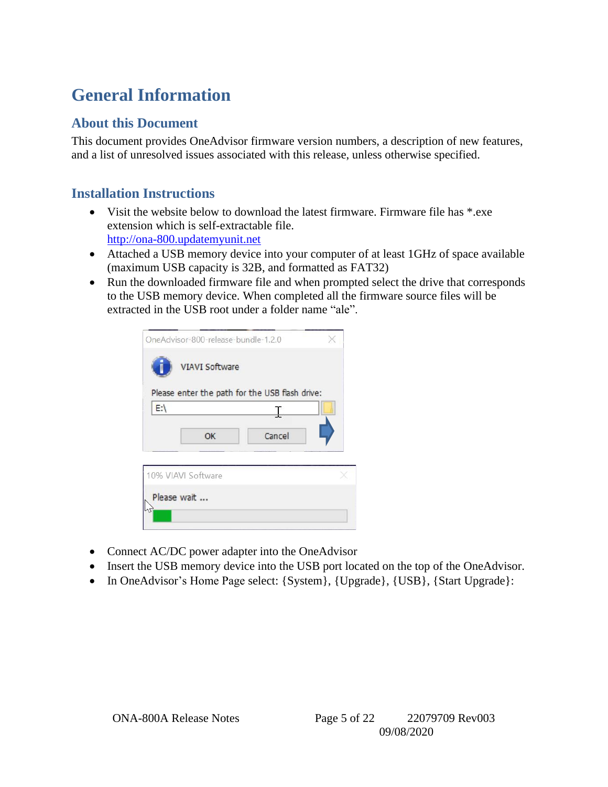# <span id="page-4-0"></span>**General Information**

## <span id="page-4-1"></span>**About this Document**

This document provides OneAdvisor firmware version numbers, a description of new features, and a list of unresolved issues associated with this release, unless otherwise specified.

## <span id="page-4-2"></span>**Installation Instructions**

- Visit the website below to download the latest firmware. Firmware file has \*.exe extension which is self-extractable file. [http://ona-800.updatemyunit.net](http://ona-800.updatemyunit.net/)
- Attached a USB memory device into your computer of at least 1GHz of space available (maximum USB capacity is 32B, and formatted as FAT32)
- Run the downloaded firmware file and when prompted select the drive that corresponds to the USB memory device. When completed all the firmware source files will be extracted in the USB root under a folder name "ale".

|               | OneAdvisor-800-release-bundle-1.2.0 |                                                |  |
|---------------|-------------------------------------|------------------------------------------------|--|
|               | <b>VIAVI Software</b>               |                                                |  |
|               |                                     | Please enter the path for the USB flash drive: |  |
| $E:\setminus$ |                                     |                                                |  |
|               | OK                                  | Cancel                                         |  |
|               | 10% VIAVI Software                  |                                                |  |
| Please wait   |                                     |                                                |  |
|               |                                     |                                                |  |

- Connect AC/DC power adapter into the OneAdvisor
- Insert the USB memory device into the USB port located on the top of the OneAdvisor.
- In OneAdvisor's Home Page select: {System}, {Upgrade}, {USB}, {Start Upgrade}: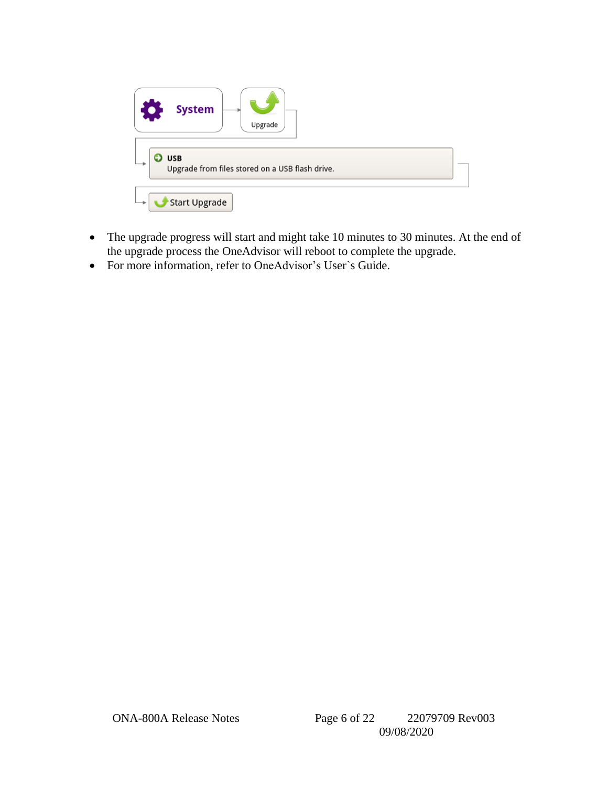| <b>System</b><br>$\bullet$<br>Upgrade                           |  |
|-----------------------------------------------------------------|--|
| <b>O</b> usb<br>Upgrade from files stored on a USB flash drive. |  |
| Start Upgrade                                                   |  |

- The upgrade progress will start and might take 10 minutes to 30 minutes. At the end of the upgrade process the OneAdvisor will reboot to complete the upgrade.
- For more information, refer to OneAdvisor's User`s Guide.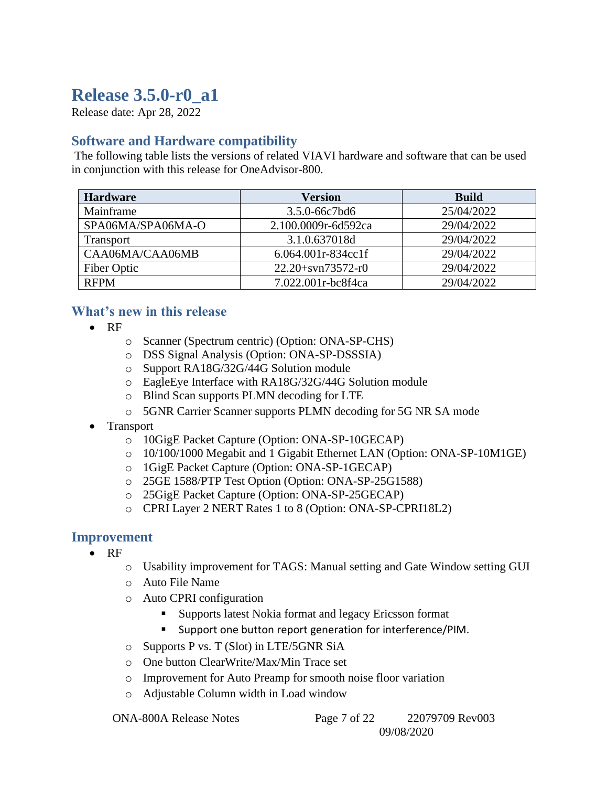# <span id="page-6-0"></span>**Release 3.5.0-r0\_a1**

Release date: Apr 28, 2022

## <span id="page-6-1"></span>**Software and Hardware compatibility**

The following table lists the versions of related VIAVI hardware and software that can be used in conjunction with this release for OneAdvisor-800.

| <b>Hardware</b>   | Version                       | <b>Build</b> |
|-------------------|-------------------------------|--------------|
| Mainframe         | 3.5.0-66c7bd6                 | 25/04/2022   |
| SPA06MA/SPA06MA-O | 2.100.0009r-6d592ca           | 29/04/2022   |
| <b>Transport</b>  | 3.1.0.637018d                 | 29/04/2022   |
| CAA06MA/CAA06MB   | 6.064.001r-834cc1f            | 29/04/2022   |
| Fiber Optic       | $22.20 + \frac{1}{3572 - 10}$ | 29/04/2022   |
| <b>RFPM</b>       | 7.022.001r-bc8f4ca            | 29/04/2022   |

### <span id="page-6-2"></span>**What's new in this release**

- RF
	- o Scanner (Spectrum centric) (Option: ONA-SP-CHS)
	- o DSS Signal Analysis (Option: ONA-SP-DSSSIA)
	- o Support RA18G/32G/44G Solution module
	- o EagleEye Interface with RA18G/32G/44G Solution module
	- o Blind Scan supports PLMN decoding for LTE
	- o 5GNR Carrier Scanner supports PLMN decoding for 5G NR SA mode
- Transport
	- o 10GigE Packet Capture (Option: ONA-SP-10GECAP)
	- o 10/100/1000 Megabit and 1 Gigabit Ethernet LAN (Option: ONA-SP-10M1GE)
	- o 1GigE Packet Capture (Option: ONA-SP-1GECAP)
	- o 25GE 1588/PTP Test Option (Option: ONA-SP-25G1588)
	- o 25GigE Packet Capture (Option: ONA-SP-25GECAP)
	- o CPRI Layer 2 NERT Rates 1 to 8 (Option: ONA-SP-CPRI18L2)

### <span id="page-6-3"></span>**Improvement**

- RF
- o Usability improvement for TAGS: Manual setting and Gate Window setting GUI
- o Auto File Name
- o Auto CPRI configuration
	- Supports latest Nokia format and legacy Ericsson format
	- Support one button report generation for interference/PIM.
- o Supports P vs. T (Slot) in LTE/5GNR SiA
- o One button ClearWrite/Max/Min Trace set
- o Improvement for Auto Preamp for smooth noise floor variation
- o Adjustable Column width in Load window

#### ONA-800A Release Notes Page 7 of 22 22079709 Rev003 09/08/2020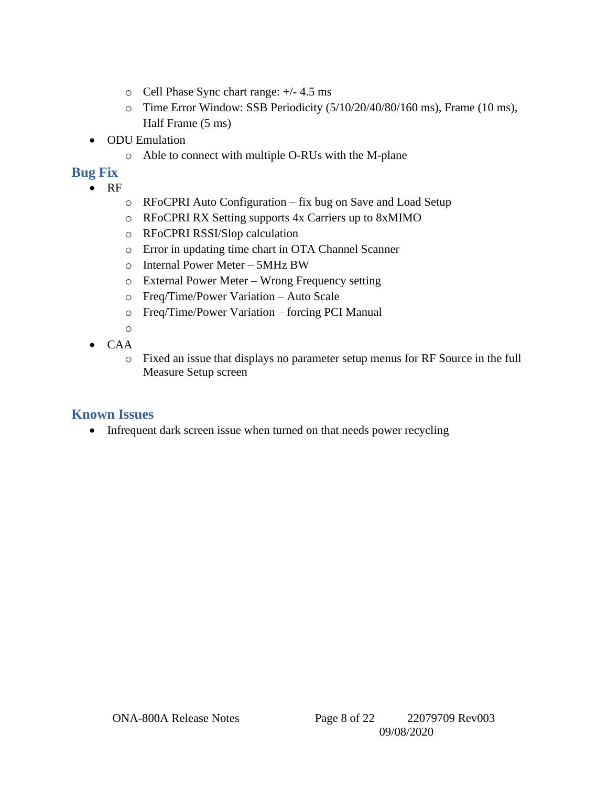- o Cell Phase Sync chart range: +/- 4.5 ms
- o Time Error Window: SSB Periodicity (5/10/20/40/80/160 ms), Frame (10 ms), Half Frame (5 ms)
- ODU Emulation
	- o Able to connect with multiple O-RUs with the M-plane

# <span id="page-7-0"></span>**Bug Fix**

- RF
	- o RFoCPRI Auto Configuration fix bug on Save and Load Setup
	- o RFoCPRI RX Setting supports 4x Carriers up to 8xMIMO
	- o RFoCPRI RSSI/Slop calculation
	- o Error in updating time chart in OTA Channel Scanner
	- o Internal Power Meter 5MHz BW
	- o External Power Meter Wrong Frequency setting
	- o Freq/Time/Power Variation Auto Scale
	- o Freq/Time/Power Variation forcing PCI Manual
- o • CAA
	- o Fixed an issue that displays no parameter setup menus for RF Source in the full Measure Setup screen

## <span id="page-7-1"></span>**Known Issues**

• Infrequent dark screen issue when turned on that needs power recycling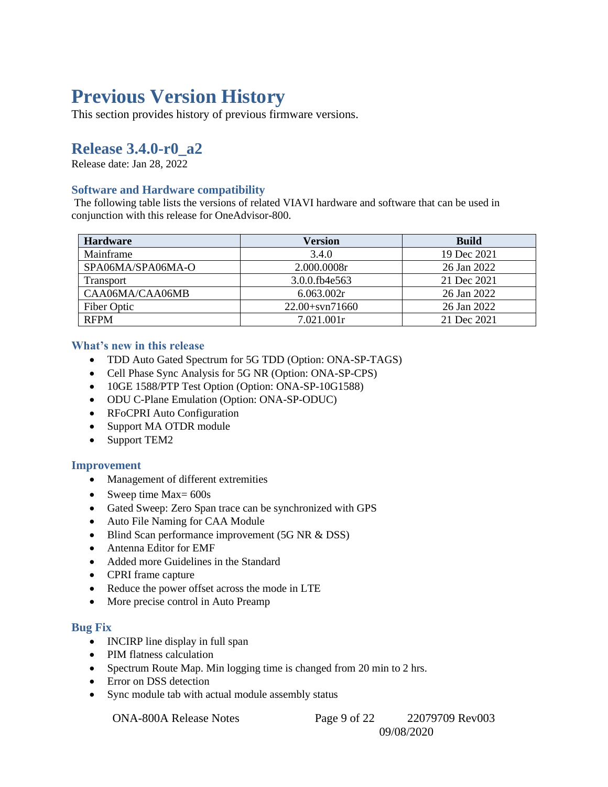# <span id="page-8-0"></span>**Previous Version History**

This section provides history of previous firmware versions.

# <span id="page-8-1"></span>**Release 3.4.0-r0\_a2**

Release date: Jan 28, 2022

### <span id="page-8-2"></span>**Software and Hardware compatibility**

The following table lists the versions of related VIAVI hardware and software that can be used in conjunction with this release for OneAdvisor-800.

| <b>Hardware</b>   | Version                           | <b>Build</b> |
|-------------------|-----------------------------------|--------------|
| Mainframe         | 3.4.0                             | 19 Dec 2021  |
| SPA06MA/SPA06MA-O | 2.000.0008r                       | 26 Jan 2022  |
| <b>Transport</b>  | 3.0.0.fb4e563                     | 21 Dec 2021  |
| CAA06MA/CAA06MB   | 6.063.002r                        | 26 Jan 2022  |
| Fiber Optic       | $22.00 + \frac{\text{svn}}{1660}$ | 26 Jan 2022  |
| <b>RFPM</b>       | 7.021.001r                        | 21 Dec 2021  |

### <span id="page-8-3"></span>**What's new in this release**

- TDD Auto Gated Spectrum for 5G TDD (Option: ONA-SP-TAGS)
- Cell Phase Sync Analysis for 5G NR (Option: ONA-SP-CPS)
- 10GE 1588/PTP Test Option (Option: ONA-SP-10G1588)
- ODU C-Plane Emulation (Option: ONA-SP-ODUC)
- RFoCPRI Auto Configuration
- Support MA OTDR module
- Support TEM2

### <span id="page-8-4"></span>**Improvement**

- Management of different extremities
- Sweep time Max= 600s
- Gated Sweep: Zero Span trace can be synchronized with GPS
- Auto File Naming for CAA Module
- Blind Scan performance improvement (5G NR & DSS)
- Antenna Editor for EMF
- Added more Guidelines in the Standard
- CPRI frame capture
- Reduce the power offset across the mode in LTE
- More precise control in Auto Preamp

### <span id="page-8-5"></span>**Bug Fix**

- INCIRP line display in full span
- PIM flatness calculation
- Spectrum Route Map. Min logging time is changed from 20 min to 2 hrs.
- Error on DSS detection
- Sync module tab with actual module assembly status

ONA-800A Release Notes Page 9 of 22 22079709 Rev003 09/08/2020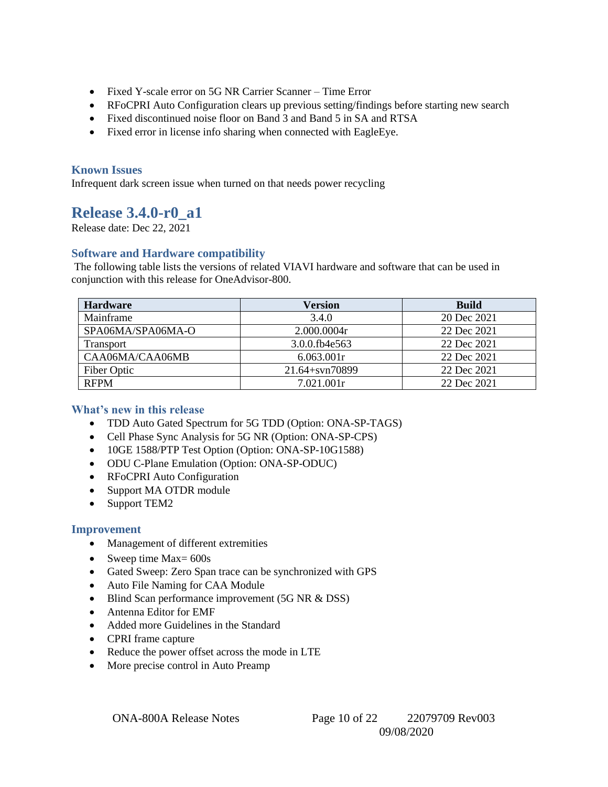- Fixed Y-scale error on 5G NR Carrier Scanner Time Error
- RFoCPRI Auto Configuration clears up previous setting/findings before starting new search
- Fixed discontinued noise floor on Band 3 and Band 5 in SA and RTSA
- Fixed error in license info sharing when connected with EagleEye.

<span id="page-9-0"></span>Infrequent dark screen issue when turned on that needs power recycling

# <span id="page-9-1"></span>**Release 3.4.0-r0\_a1**

Release date: Dec 22, 2021

### <span id="page-9-2"></span>**Software and Hardware compatibility**

The following table lists the versions of related VIAVI hardware and software that can be used in conjunction with this release for OneAdvisor-800.

| <b>Hardware</b>   | Version                    | <b>Build</b> |
|-------------------|----------------------------|--------------|
| Mainframe         | 3.4.0                      | 20 Dec 2021  |
| SPA06MA/SPA06MA-O | 2.000.0004r                | 22 Dec 2021  |
| <b>Transport</b>  | 3.0.0.fb4e563              | 22 Dec 2021  |
| CAA06MA/CAA06MB   | 6.063.001r                 | 22 Dec 2021  |
| Fiber Optic       | $21.64 + \frac{100099}{9}$ | 22 Dec 2021  |
| <b>RFPM</b>       | 7.021.001r                 | 22 Dec 2021  |

### <span id="page-9-3"></span>**What's new in this release**

- TDD Auto Gated Spectrum for 5G TDD (Option: ONA-SP-TAGS)
- Cell Phase Sync Analysis for 5G NR (Option: ONA-SP-CPS)
- 10GE 1588/PTP Test Option (Option: ONA-SP-10G1588)
- ODU C-Plane Emulation (Option: ONA-SP-ODUC)
- RFoCPRI Auto Configuration
- Support MA OTDR module
- Support TEM2

### <span id="page-9-4"></span>**Improvement**

- Management of different extremities
- Sweep time  $Max = 600s$
- Gated Sweep: Zero Span trace can be synchronized with GPS
- Auto File Naming for CAA Module
- Blind Scan performance improvement (5G NR & DSS)
- Antenna Editor for EMF
- Added more Guidelines in the Standard
- CPRI frame capture
- Reduce the power offset across the mode in LTE
- More precise control in Auto Preamp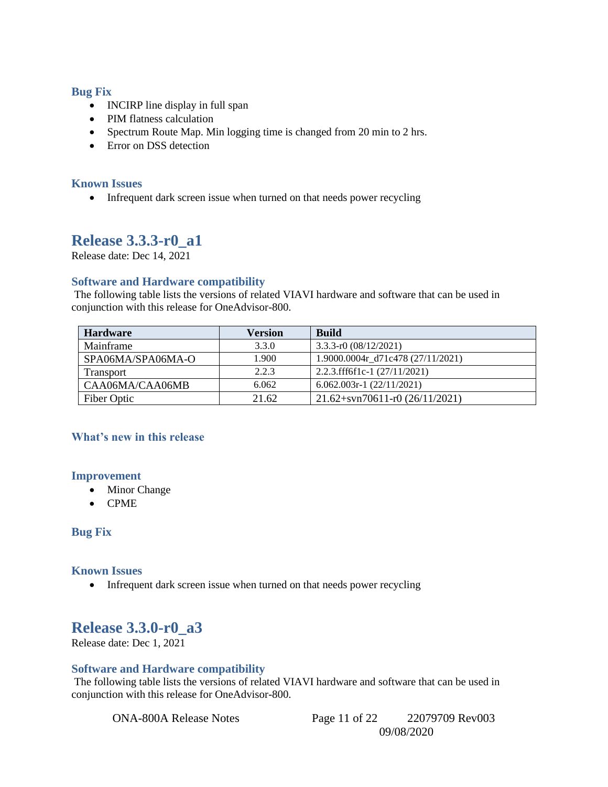### <span id="page-10-0"></span>**Bug Fix**

- INCIRP line display in full span
- PIM flatness calculation
- Spectrum Route Map. Min logging time is changed from 20 min to 2 hrs.
- Error on DSS detection

### <span id="page-10-1"></span>**Known Issues**

• Infrequent dark screen issue when turned on that needs power recycling

# <span id="page-10-2"></span>**Release 3.3.3-r0\_a1**

Release date: Dec 14, 2021

### <span id="page-10-3"></span>**Software and Hardware compatibility**

The following table lists the versions of related VIAVI hardware and software that can be used in conjunction with this release for OneAdvisor-800.

| <b>Hardware</b>   | Version | <b>Build</b>                                                                    |
|-------------------|---------|---------------------------------------------------------------------------------|
| Mainframe         | 3.3.0   | $3.3.3-r0(08/12/2021)$                                                          |
| SPA06MA/SPA06MA-O | 1.900   | 1.9000.0004r d71c478 (27/11/2021)                                               |
| Transport         | 2.2.3   | 2.2.3.fff6f1c-1 (27/11/2021)                                                    |
| CAA06MA/CAA06MB   | 6.062   | 6.062.003r-1 $(22/11/2021)$                                                     |
| Fiber Optic       | 21.62   | $21.62 + \frac{\text{svn}}{0611 - \text{r0}} \left( \frac{26}{11/2021} \right)$ |

### <span id="page-10-4"></span>**What's new in this release**

### <span id="page-10-5"></span>**Improvement**

- Minor Change
- CPME

### <span id="page-10-6"></span>**Bug Fix**

### <span id="page-10-7"></span>**Known Issues**

• Infrequent dark screen issue when turned on that needs power recycling

# <span id="page-10-8"></span>**Release 3.3.0-r0\_a3**

Release date: Dec 1, 2021

### <span id="page-10-9"></span>**Software and Hardware compatibility**

The following table lists the versions of related VIAVI hardware and software that can be used in conjunction with this release for OneAdvisor-800.

ONA-800A Release Notes Page 11 of 22 22079709 Rev003 09/08/2020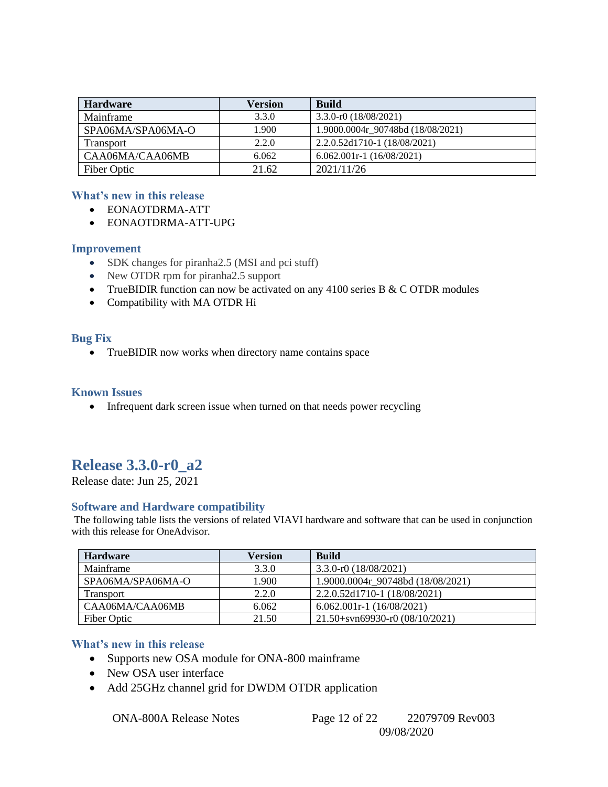| <b>Hardware</b>   | Version | <b>Build</b>                      |
|-------------------|---------|-----------------------------------|
| Mainframe         | 3.3.0   | $3.3.0 - r0(18/08/2021)$          |
| SPA06MA/SPA06MA-O | 1.900   | 1.9000.0004r 90748bd (18/08/2021) |
| <b>Transport</b>  | 2.2.0   | 2.2.0.52d1710-1 (18/08/2021)      |
| CAA06MA/CAA06MB   | 6.062   | $6.062.001r-1$ (16/08/2021)       |
| Fiber Optic       | 21.62   | 2021/11/26                        |

### <span id="page-11-0"></span>**What's new in this release**

- EONAOTDRMA-ATT
- EONAOTDRMA-ATT-UPG

### <span id="page-11-1"></span>**Improvement**

- SDK changes for piranha2.5 (MSI and pci stuff)
- New OTDR rpm for piranha2.5 support
- TrueBIDIR function can now be activated on any 4100 series B & C OTDR modules
- Compatibility with MA OTDR Hi

### <span id="page-11-2"></span>**Bug Fix**

• TrueBIDIR now works when directory name contains space

### <span id="page-11-3"></span>**Known Issues**

• Infrequent dark screen issue when turned on that needs power recycling

# <span id="page-11-4"></span>**Release 3.3.0-r0\_a2**

Release date: Jun 25, 2021

### <span id="page-11-5"></span>**Software and Hardware compatibility**

The following table lists the versions of related VIAVI hardware and software that can be used in conjunction with this release for OneAdvisor.

| <b>Hardware</b>   | Version | <b>Build</b>                           |
|-------------------|---------|----------------------------------------|
| Mainframe         | 3.3.0   | $3.3.0 - r0(18/08/2021)$               |
| SPA06MA/SPA06MA-O | 1.900   | 1.9000.0004r 90748bd (18/08/2021)      |
| Transport         | 2.2.0   | 2.2.0.52d1710-1 (18/08/2021)           |
| CAA06MA/CAA06MB   | 6.062   | $6.062.001r-1$ (16/08/2021)            |
| Fiber Optic       | 21.50   | $21.50 + \frac{9930}{r0} (08/10/2021)$ |

### <span id="page-11-6"></span>**What's new in this release**

- Supports new OSA module for ONA-800 mainframe
- New OSA user interface
- Add 25GHz channel grid for DWDM OTDR application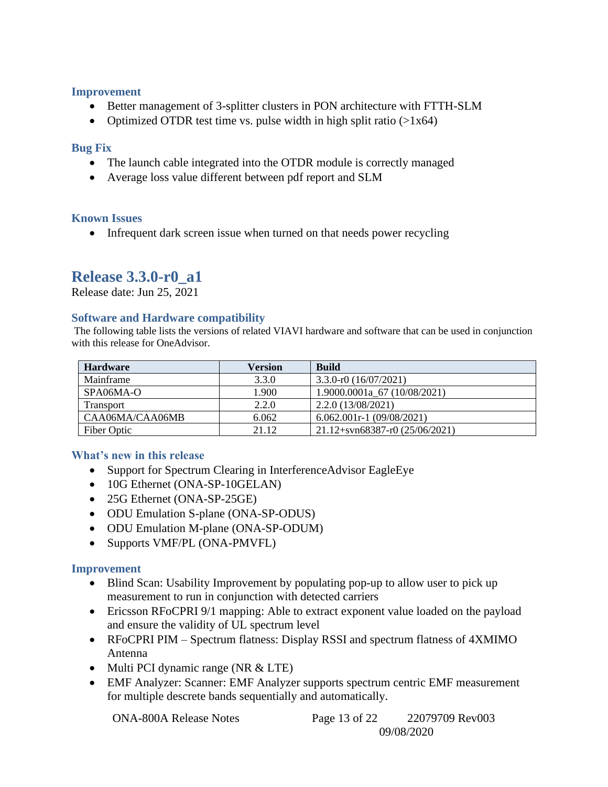### <span id="page-12-0"></span>**Improvement**

- Better management of 3-splitter clusters in PON architecture with FTTH-SLM
- Optimized OTDR test time vs. pulse width in high split ratio  $(>\x) 1x64$

### <span id="page-12-1"></span>**Bug Fix**

- The launch cable integrated into the OTDR module is correctly managed
- Average loss value different between pdf report and SLM

### <span id="page-12-2"></span>**Known Issues**

• Infrequent dark screen issue when turned on that needs power recycling

# <span id="page-12-3"></span>**Release 3.3.0-r0\_a1**

Release date: Jun 25, 2021

### <span id="page-12-4"></span>**Software and Hardware compatibility**

The following table lists the versions of related VIAVI hardware and software that can be used in conjunction with this release for OneAdvisor.

| <b>Hardware</b> | Version | <b>Build</b>                                      |
|-----------------|---------|---------------------------------------------------|
| Mainframe       | 3.3.0   | 3.3.0-r0 $(16/07/2021)$                           |
| SPA06MA-O       | 1.900   | $1.9000.0001a$ 67 (10/08/2021)                    |
| Transport       | 2.2.0   | 2.2.0(13/08/2021)                                 |
| CAA06MA/CAA06MB | 6.062   | $6.062.001r-1$ (09/08/2021)                       |
| Fiber Optic     | 21.12   | $21.12 + \text{syn}68387 - \text{r}0(25/06/2021)$ |

### <span id="page-12-5"></span>**What's new in this release**

- Support for Spectrum Clearing in InterferenceAdvisor EagleEye
- 10G Ethernet (ONA-SP-10GELAN)
- 25G Ethernet (ONA-SP-25GE)
- ODU Emulation S-plane (ONA-SP-ODUS)
- ODU Emulation M-plane (ONA-SP-ODUM)
- Supports VMF/PL (ONA-PMVFL)

### <span id="page-12-6"></span>**Improvement**

- Blind Scan: Usability Improvement by populating pop-up to allow user to pick up measurement to run in conjunction with detected carriers
- Ericsson RFoCPRI 9/1 mapping: Able to extract exponent value loaded on the payload and ensure the validity of UL spectrum level
- RFoCPRI PIM Spectrum flatness: Display RSSI and spectrum flatness of 4XMIMO Antenna
- Multi PCI dynamic range (NR & LTE)
- EMF Analyzer: Scanner: EMF Analyzer supports spectrum centric EMF measurement for multiple descrete bands sequentially and automatically.

ONA-800A Release Notes Page 13 of 22 22079709 Rev003 09/08/2020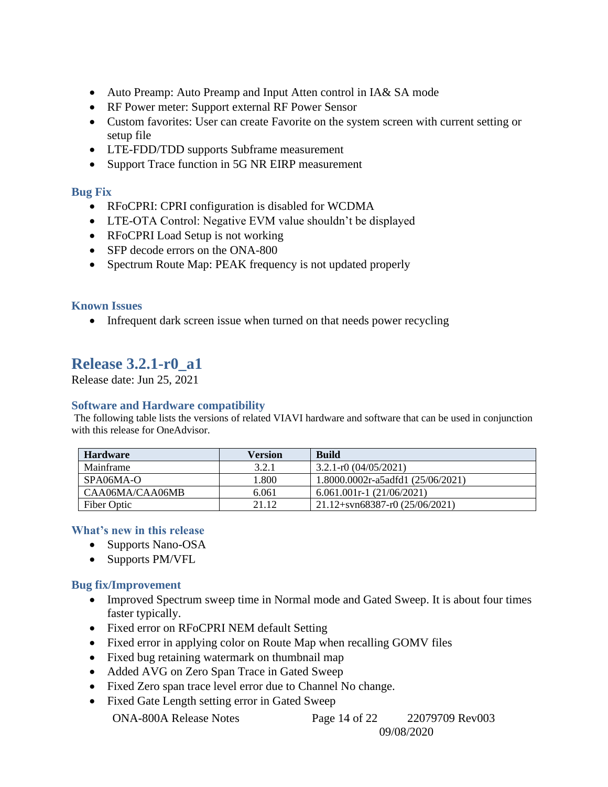- Auto Preamp: Auto Preamp and Input Atten control in IA& SA mode
- RF Power meter: Support external RF Power Sensor
- Custom favorites: User can create Favorite on the system screen with current setting or setup file
- LTE-FDD/TDD supports Subframe measurement
- Support Trace function in 5G NR EIRP measurement

### <span id="page-13-0"></span>**Bug Fix**

- RFoCPRI: CPRI configuration is disabled for WCDMA
- LTE-OTA Control: Negative EVM value shouldn't be displayed
- RFoCPRI Load Setup is not working
- SFP decode errors on the ONA-800
- Spectrum Route Map: PEAK frequency is not updated properly

### <span id="page-13-1"></span>**Known Issues**

• Infrequent dark screen issue when turned on that needs power recycling

# <span id="page-13-2"></span>**Release 3.2.1-r0\_a1**

Release date: Jun 25, 2021

### <span id="page-13-3"></span>**Software and Hardware compatibility**

The following table lists the versions of related VIAVI hardware and software that can be used in conjunction with this release for OneAdvisor.

| <b>Hardware</b> | Version | <b>Build</b>                                             |
|-----------------|---------|----------------------------------------------------------|
| Mainframe       | 3.2.1   | $3.2.1 - r0(04/05/2021)$                                 |
| $SPA06MA-O$     | l.800   | $1.8000.0002r - a5adfd1$ (25/06/2021)                    |
| CAA06MA/CAA06MB | 6.061   | $6.061.001r-1$ (21/06/2021)                              |
| Fiber Optic     | 21.12   | $21.12 + \frac{\text{svn}68387 - \text{r0}}{25/06/2021}$ |

### <span id="page-13-4"></span>**What's new in this release**

- Supports Nano-OSA
- Supports PM/VFL

### <span id="page-13-5"></span>**Bug fix/Improvement**

- Improved Spectrum sweep time in Normal mode and Gated Sweep. It is about four times faster typically.
- Fixed error on RFoCPRI NEM default Setting
- Fixed error in applying color on Route Map when recalling GOMV files
- Fixed bug retaining watermark on thumbnail map
- Added AVG on Zero Span Trace in Gated Sweep
- Fixed Zero span trace level error due to Channel No change.
- Fixed Gate Length setting error in Gated Sweep

### ONA-800A Release Notes Page 14 of 22 22079709 Rev003

09/08/2020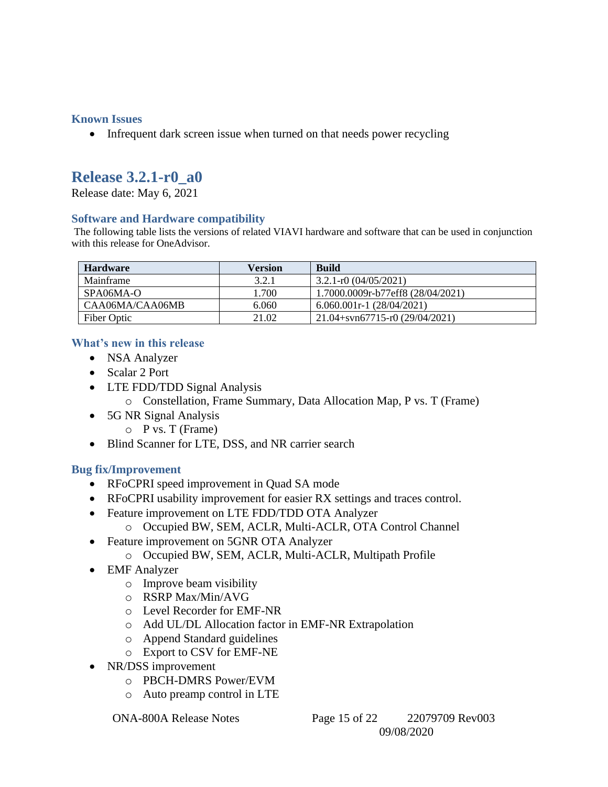<span id="page-14-0"></span>• Infrequent dark screen issue when turned on that needs power recycling

# <span id="page-14-1"></span>**Release 3.2.1-r0\_a0**

Release date: May 6, 2021

### <span id="page-14-2"></span>**Software and Hardware compatibility**

The following table lists the versions of related VIAVI hardware and software that can be used in conjunction with this release for OneAdvisor.

| <b>Hardware</b> | Version | <b>Build</b>                            |
|-----------------|---------|-----------------------------------------|
| Mainframe       | 3.2.1   | $3.2.1 - r0(04/05/2021)$                |
| $SPA06MA-O$     | .700    | 1.7000.0009r-b77eff8 (28/04/2021)       |
| CAA06MA/CAA06MB | 6.060   | $6.060.001r-1$ (28/04/2021)             |
| Fiber Optic     | 21.02   | $21.04 + \frac{15}{15}$ r0 (29/04/2021) |

### <span id="page-14-3"></span>**What's new in this release**

- NSA Analyzer
- Scalar 2 Port
- LTE FDD/TDD Signal Analysis
	- o Constellation, Frame Summary, Data Allocation Map, P vs. T (Frame)
- 5G NR Signal Analysis
	- $\circ$  P vs. T (Frame)
- Blind Scanner for LTE, DSS, and NR carrier search

### <span id="page-14-4"></span>**Bug fix/Improvement**

- RFoCPRI speed improvement in Quad SA mode
- RFoCPRI usability improvement for easier RX settings and traces control.
- Feature improvement on LTE FDD/TDD OTA Analyzer
	- o Occupied BW, SEM, ACLR, Multi-ACLR, OTA Control Channel
- Feature improvement on 5GNR OTA Analyzer
	- o Occupied BW, SEM, ACLR, Multi-ACLR, Multipath Profile
- EMF Analyzer
	- o Improve beam visibility
	- o RSRP Max/Min/AVG
	- o Level Recorder for EMF-NR
	- o Add UL/DL Allocation factor in EMF-NR Extrapolation
	- o Append Standard guidelines
	- o Export to CSV for EMF-NE
- NR/DSS improvement
	- o PBCH-DMRS Power/EVM
	- o Auto preamp control in LTE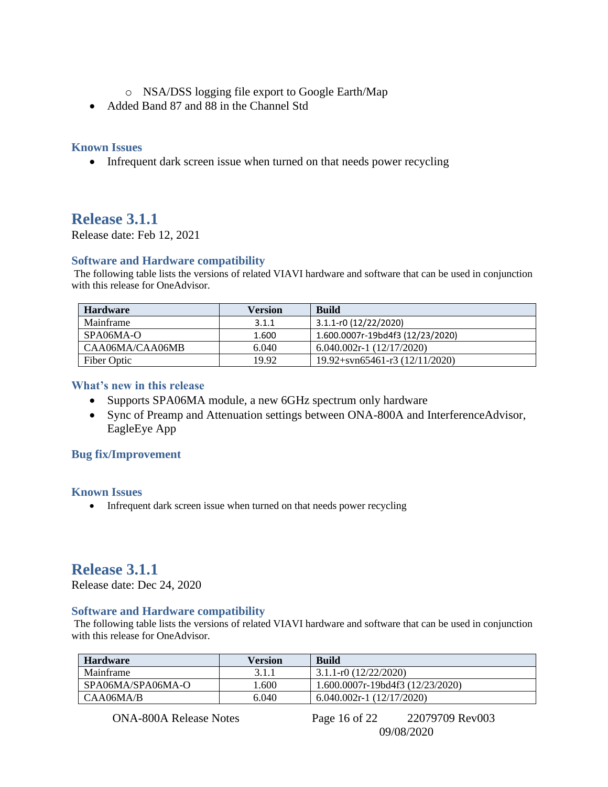- o NSA/DSS logging file export to Google Earth/Map
- Added Band 87 and 88 in the Channel Std

<span id="page-15-0"></span>• Infrequent dark screen issue when turned on that needs power recycling

# <span id="page-15-1"></span>**Release 3.1.1**

Release date: Feb 12, 2021

### <span id="page-15-2"></span>**Software and Hardware compatibility**

The following table lists the versions of related VIAVI hardware and software that can be used in conjunction with this release for OneAdvisor.

| <b>Hardware</b> | Version | <b>Build</b>                     |
|-----------------|---------|----------------------------------|
| Mainframe       | 3.1.1   | $3.1.1$ -r0 (12/22/2020)         |
| SPA06MA-O       | 1.600   | 1.600.0007r-19bd4f3 (12/23/2020) |
| CAA06MA/CAA06MB | 6.040   | $6.040.002r-1(12/17/2020)$       |
| Fiber Optic     | 19.92   | $19.92 + \frac{12}{12020}$       |

### <span id="page-15-3"></span>**What's new in this release**

- Supports SPA06MA module, a new 6GHz spectrum only hardware
- Sync of Preamp and Attenuation settings between ONA-800A and InterferenceAdvisor, EagleEye App

### <span id="page-15-4"></span>**Bug fix/Improvement**

### <span id="page-15-5"></span>**Known Issues**

• Infrequent dark screen issue when turned on that needs power recycling

# <span id="page-15-6"></span>**Release 3.1.1**

Release date: Dec 24, 2020

### <span id="page-15-7"></span>**Software and Hardware compatibility**

The following table lists the versions of related VIAVI hardware and software that can be used in conjunction with this release for OneAdvisor.

| <b>Hardware</b>   | <b>Version</b> | <b>Build</b>                     |
|-------------------|----------------|----------------------------------|
| Mainframe         | 3.1.1          | $3.1.1 - r0(12/22/2020)$         |
| SPA06MA/SPA06MA-O | .600           | 1.600.0007r-19bd4f3 (12/23/2020) |
| CAA06MA/B         | 6.040          | $6.040.002r-1(12/17/2020)$       |

ONA-800A Release Notes Page 16 of 22 22079709 Rev003 09/08/2020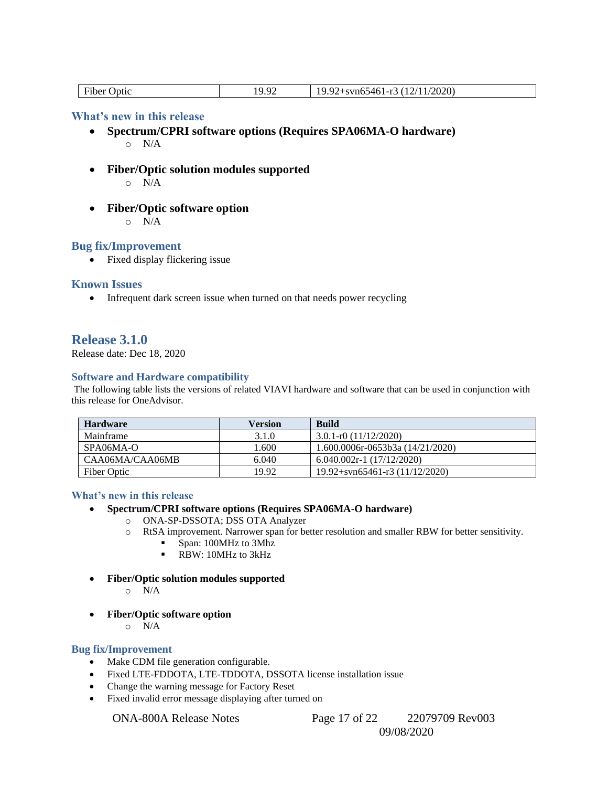|  | Fiber (<br>Optic | $100^\circ$<br>1/2/2 | 2+svn65461-r3 (12/11/2020)<br>92<br>19 |
|--|------------------|----------------------|----------------------------------------|
|--|------------------|----------------------|----------------------------------------|

### <span id="page-16-0"></span>**What's new in this release**

- **Spectrum/CPRI software options (Requires SPA06MA-O hardware)** o N/A
- **Fiber/Optic solution modules supported** o N/A
- **Fiber/Optic software option**  $O \quad N/A$

#### <span id="page-16-1"></span>**Bug fix/Improvement**

• Fixed display flickering issue

### <span id="page-16-2"></span>**Known Issues**

• Infrequent dark screen issue when turned on that needs power recycling

### <span id="page-16-3"></span>**Release 3.1.0**

Release date: Dec 18, 2020

#### <span id="page-16-4"></span>**Software and Hardware compatibility**

The following table lists the versions of related VIAVI hardware and software that can be used in conjunction with this release for OneAdvisor.

| <b>Hardware</b> | Version | <b>Build</b>                                 |
|-----------------|---------|----------------------------------------------|
| Mainframe       | 3.1.0   | $3.0.1 - r0(11/12/2020)$                     |
| $SPA06MA-O$     | .600    | $1.600.0006r - 0653b3a (14/21/2020)$         |
| CAA06MA/CAA06MB | 6.040   | $6.040.002r-1(17/12/2020)$                   |
| Fiber Optic     | 19.92   | $19.92 + \frac{1}{165461 - r3} (11/12/2020)$ |

#### <span id="page-16-5"></span>**What's new in this release**

#### • **Spectrum/CPRI software options (Requires SPA06MA-O hardware)**

- o ONA-SP-DSSOTA; DSS OTA Analyzer
- o RtSA improvement. Narrower span for better resolution and smaller RBW for better sensitivity.
	- Span: 100MHz to 3Mhz
		- RBW: 10MHz to 3kHz
- **Fiber/Optic solution modules supported** o N/A
- **Fiber/Optic software option**
	- o N/A

### <span id="page-16-6"></span>**Bug fix/Improvement**

- Make CDM file generation configurable.
- Fixed LTE-FDDOTA, LTE-TDDOTA, DSSOTA license installation issue
- Change the warning message for Factory Reset
- Fixed invalid error message displaying after turned on

# ONA-800A Release Notes Page 17 of 22 22079709 Rev003

09/08/2020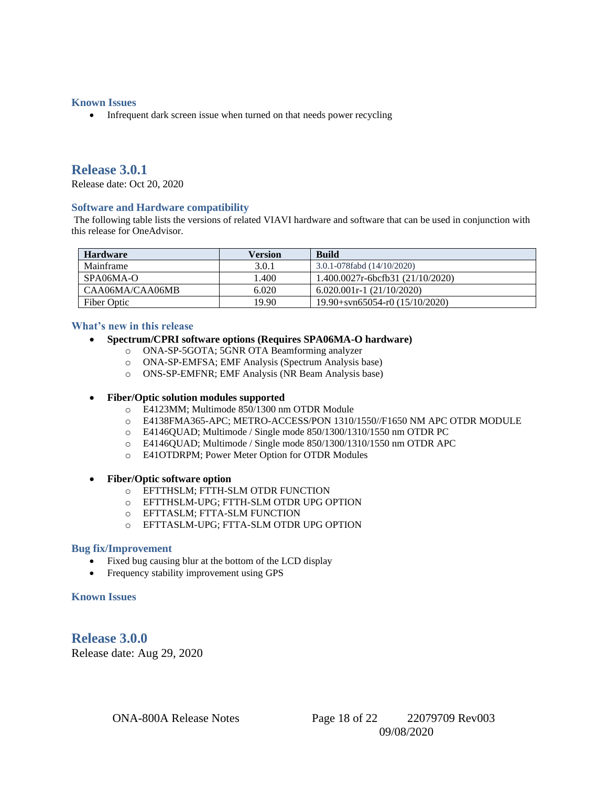<span id="page-17-0"></span>• Infrequent dark screen issue when turned on that needs power recycling

### <span id="page-17-1"></span>**Release 3.0.1**

Release date: Oct 20, 2020

#### <span id="page-17-2"></span>**Software and Hardware compatibility**

The following table lists the versions of related VIAVI hardware and software that can be used in conjunction with this release for OneAdvisor.

| <b>Hardware</b> | Version | <b>Build</b>                         |
|-----------------|---------|--------------------------------------|
| Mainframe       | 3.0.1   | $3.0.1 - 078fabd (14/10/2020)$       |
| SPA06MA-O       | 1.400   | $1.400.0027r - 6bcfb31(21/10/2020)$  |
| CAA06MA/CAA06MB | 6.020   | $6.020.001r-1(21/10/2020)$           |
| Fiber Optic     | 19.90   | $19.90 + \frac{15}{10} (15/10/2020)$ |

#### <span id="page-17-3"></span>**What's new in this release**

- **Spectrum/CPRI software options (Requires SPA06MA-O hardware)**
	- o ONA-SP-5GOTA; 5GNR OTA Beamforming analyzer
	- o ONA-SP-EMFSA; EMF Analysis (Spectrum Analysis base)
	- o ONS-SP-EMFNR; EMF Analysis (NR Beam Analysis base)

#### • **Fiber/Optic solution modules supported**

- o E4123MM; Multimode 850/1300 nm OTDR Module
- o E4138FMA365-APC; METRO-ACCESS/PON 1310/1550//F1650 NM APC OTDR MODULE
- o E4146QUAD; Multimode / Single mode 850/1300/1310/1550 nm OTDR PC
- o E4146QUAD; Multimode / Single mode 850/1300/1310/1550 nm OTDR APC
- o E41OTDRPM; Power Meter Option for OTDR Modules

#### • **Fiber/Optic software option**

- o EFTTHSLM; FTTH-SLM OTDR FUNCTION
- o EFTTHSLM-UPG; FTTH-SLM OTDR UPG OPTION
- o EFTTASLM; FTTA-SLM FUNCTION
- o EFTTASLM-UPG; FTTA-SLM OTDR UPG OPTION

#### <span id="page-17-4"></span>**Bug fix/Improvement**

- Fixed bug causing blur at the bottom of the LCD display
- Frequency stability improvement using GPS

#### <span id="page-17-5"></span>**Known Issues**

<span id="page-17-6"></span>**Release 3.0.0**  Release date: Aug 29, 2020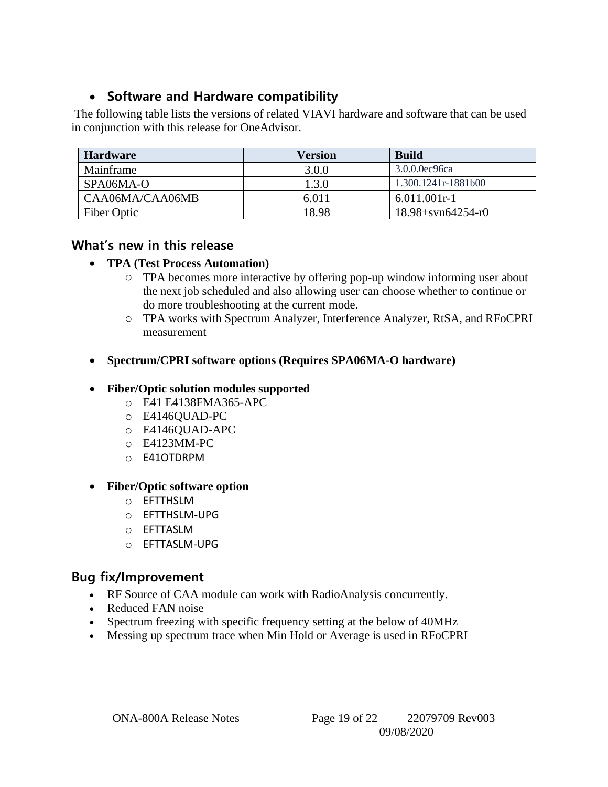# <span id="page-18-0"></span>• **Software and Hardware compatibility**

The following table lists the versions of related VIAVI hardware and software that can be used in conjunction with this release for OneAdvisor.

| <b>Hardware</b> | <b>Version</b> | <b>Build</b>                                                                     |
|-----------------|----------------|----------------------------------------------------------------------------------|
| Mainframe       | 3.0.0          | $3.0.0.0$ ec $96ca$                                                              |
| SPA06MA-O       | 1.3.0          | 1.300.1241r-1881b00                                                              |
| CAA06MA/CAA06MB | 6.011          | $6.011.001r-1$                                                                   |
| Fiber Optic     | 18.98          | $18.98 + \frac{\text{svn}64254 - \text{r0}}{8.98 + \text{svn}64254 - \text{r0}}$ |

## <span id="page-18-1"></span>**What's new in this release**

- **TPA (Test Process Automation)**
	- o TPA becomes more interactive by offering pop-up window informing user about the next job scheduled and also allowing user can choose whether to continue or do more troubleshooting at the current mode.
	- o TPA works with Spectrum Analyzer, Interference Analyzer, RtSA, and RFoCPRI measurement
- **Spectrum/CPRI software options (Requires SPA06MA-O hardware)**

### • **Fiber/Optic solution modules supported**

- o E41 E4138FMA365-APC
- o E4146QUAD-PC
- o E4146QUAD-APC
- o E4123MM-PC
- o E41OTDRPM

### • **Fiber/Optic software option**

- o EFTTHSLM
- o EFTTHSLM-UPG
- o EFTTASLM
- o EFTTASLM-UPG

## <span id="page-18-2"></span>**Bug fix/Improvement**

- RF Source of CAA module can work with RadioAnalysis concurrently.
- Reduced FAN noise
- Spectrum freezing with specific frequency setting at the below of 40MHz
- Messing up spectrum trace when Min Hold or Average is used in RFoCPRI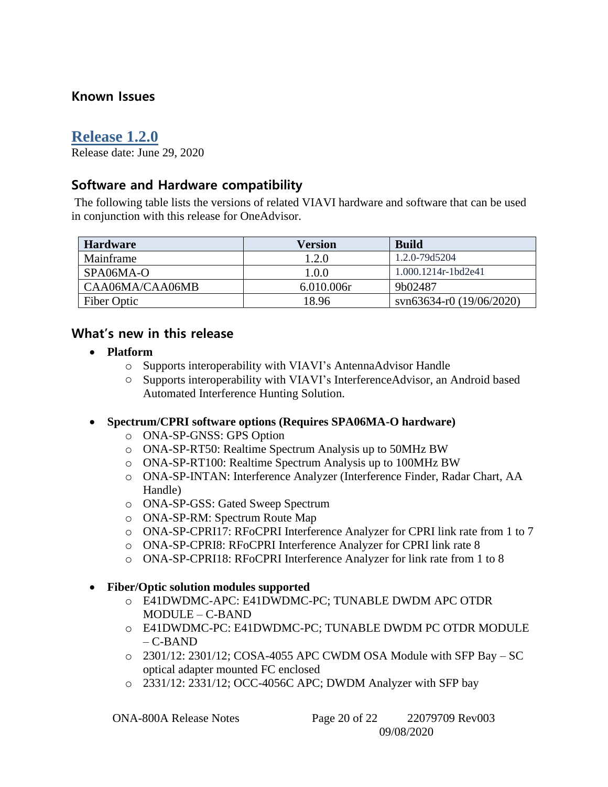## <span id="page-19-1"></span><span id="page-19-0"></span>**Release 1.2.0**

Release date: June 29, 2020

# <span id="page-19-2"></span>**Software and Hardware compatibility**

The following table lists the versions of related VIAVI hardware and software that can be used in conjunction with this release for OneAdvisor.

| <b>Hardware</b> | Version    | <b>Build</b>             |
|-----------------|------------|--------------------------|
| Mainframe       | 1.2.0      | 1.2.0-79d5204            |
| SPA06MA-O       | 1.0.0      | $1.000.1214r-1bd2e41$    |
| CAA06MA/CAA06MB | 6.010.006r | 9b02487                  |
| Fiber Optic     | 18.96      | syn63634-r0 (19/06/2020) |

### <span id="page-19-3"></span>**What's new in this release**

- **Platform**
	- o Supports interoperability with VIAVI's AntennaAdvisor Handle
	- o Supports interoperability with VIAVI's InterferenceAdvisor, an Android based Automated Interference Hunting Solution.

### • **Spectrum/CPRI software options (Requires SPA06MA-O hardware)**

- o ONA-SP-GNSS: GPS Option
- o ONA-SP-RT50: Realtime Spectrum Analysis up to 50MHz BW
- o ONA-SP-RT100: Realtime Spectrum Analysis up to 100MHz BW
- o ONA-SP-INTAN: Interference Analyzer (Interference Finder, Radar Chart, AA Handle)
- o ONA-SP-GSS: Gated Sweep Spectrum
- o ONA-SP-RM: Spectrum Route Map
- o ONA-SP-CPRI17: RFoCPRI Interference Analyzer for CPRI link rate from 1 to 7
- o ONA-SP-CPRI8: RFoCPRI Interference Analyzer for CPRI link rate 8
- o ONA-SP-CPRI18: RFoCPRI Interference Analyzer for link rate from 1 to 8
- **Fiber/Optic solution modules supported**
	- o E41DWDMC-APC: E41DWDMC-PC; TUNABLE DWDM APC OTDR MODULE – C-BAND
	- o E41DWDMC-PC: E41DWDMC-PC; TUNABLE DWDM PC OTDR MODULE  $-C-BAND$
	- o 2301/12: 2301/12; COSA-4055 APC CWDM OSA Module with SFP Bay SC optical adapter mounted FC enclosed
	- o 2331/12: 2331/12; OCC-4056C APC; DWDM Analyzer with SFP bay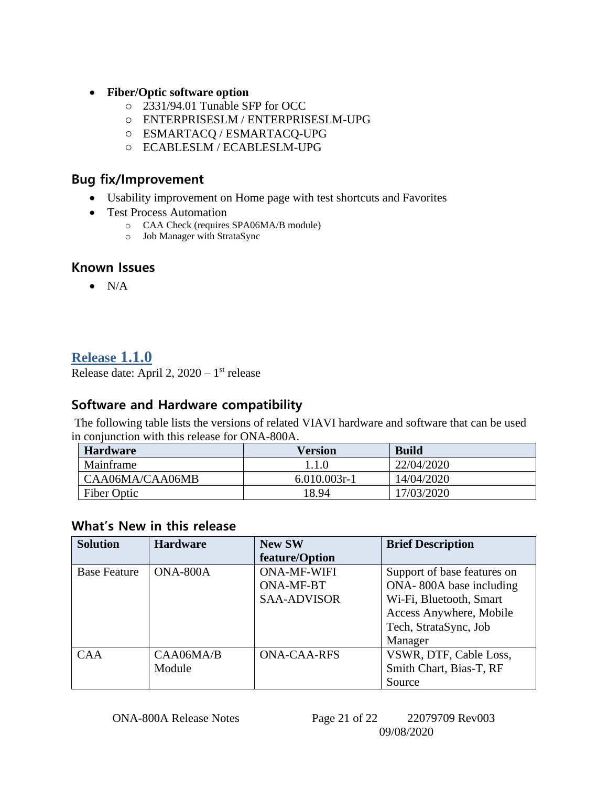### • **Fiber/Optic software option**

- o 2331/94.01 Tunable SFP for OCC
- o ENTERPRISESLM / ENTERPRISESLM-UPG
- o ESMARTACQ / ESMARTACQ-UPG
- o ECABLESLM / ECABLESLM-UPG

## <span id="page-20-0"></span>**Bug fix/Improvement**

- Usability improvement on Home page with test shortcuts and Favorites
- Test Process Automation
	- o CAA Check (requires SPA06MA/B module)
	- o Job Manager with StrataSync

### <span id="page-20-1"></span>**Known Issues**

 $\bullet$  N/A

## <span id="page-20-2"></span>**Release 1.1.0**

Release date: April 2,  $2020 - 1$ <sup>st</sup> release

# <span id="page-20-3"></span>**Software and Hardware compatibility**

The following table lists the versions of related VIAVI hardware and software that can be used in conjunction with this release for ONA-800A.

| <b>Hardware</b> | Version        | <b>Build</b> |
|-----------------|----------------|--------------|
| Mainframe       | 1.1.0          | 22/04/2020   |
| CAA06MA/CAA06MB | $6.010.003r-1$ | 14/04/2020   |
| Fiber Optic     | 18.94          | 17/03/2020   |

### <span id="page-20-4"></span>**What's New in this release**

| <b>Solution</b>     | <b>Hardware</b> | <b>New SW</b>      | <b>Brief Description</b>    |
|---------------------|-----------------|--------------------|-----------------------------|
|                     |                 | feature/Option     |                             |
| <b>Base Feature</b> | ONA-800A        | <b>ONA-MF-WIFI</b> | Support of base features on |
|                     |                 | <b>ONA-MF-BT</b>   | ONA-800A base including     |
|                     |                 | <b>SAA-ADVISOR</b> | Wi-Fi, Bluetooth, Smart     |
|                     |                 |                    | Access Anywhere, Mobile     |
|                     |                 |                    | Tech, StrataSync, Job       |
|                     |                 |                    | Manager                     |
| CAA                 | CAA06MA/B       | <b>ONA-CAA-RFS</b> | VSWR, DTF, Cable Loss,      |
|                     | Module          |                    | Smith Chart, Bias-T, RF     |
|                     |                 |                    | Source                      |